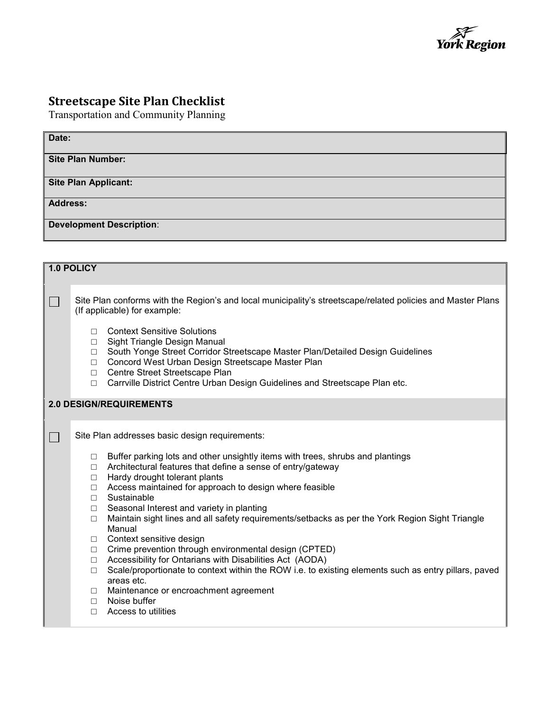

## **Streetscape Site Plan Checklist**

Transportation and Community Planning

| Date:                           |
|---------------------------------|
| <b>Site Plan Number:</b>        |
| <b>Site Plan Applicant:</b>     |
| <b>Address:</b>                 |
| <b>Development Description:</b> |

| 1.0 POLICY              |                                                                                                                                             |                                                                                                                                                                                                                                                                                                                                                                                                                                                                                                                                                                                                                                                                                                                                                                           |  |
|-------------------------|---------------------------------------------------------------------------------------------------------------------------------------------|---------------------------------------------------------------------------------------------------------------------------------------------------------------------------------------------------------------------------------------------------------------------------------------------------------------------------------------------------------------------------------------------------------------------------------------------------------------------------------------------------------------------------------------------------------------------------------------------------------------------------------------------------------------------------------------------------------------------------------------------------------------------------|--|
|                         | Site Plan conforms with the Region's and local municipality's streetscape/related policies and Master Plans<br>(If applicable) for example: |                                                                                                                                                                                                                                                                                                                                                                                                                                                                                                                                                                                                                                                                                                                                                                           |  |
|                         | П<br>$\Box$<br>$\Box$<br>$\Box$                                                                                                             | <b>Context Sensitive Solutions</b><br>Sight Triangle Design Manual<br>South Yonge Street Corridor Streetscape Master Plan/Detailed Design Guidelines<br>Concord West Urban Design Streetscape Master Plan<br>□ Centre Street Streetscape Plan<br>□ Carrville District Centre Urban Design Guidelines and Streetscape Plan etc.                                                                                                                                                                                                                                                                                                                                                                                                                                            |  |
| 2.0 DESIGN/REQUIREMENTS |                                                                                                                                             |                                                                                                                                                                                                                                                                                                                                                                                                                                                                                                                                                                                                                                                                                                                                                                           |  |
| $\blacksquare$          | Site Plan addresses basic design requirements:                                                                                              |                                                                                                                                                                                                                                                                                                                                                                                                                                                                                                                                                                                                                                                                                                                                                                           |  |
|                         | $\Box$<br>$\Box$<br>$\Box$<br>$\Box$<br>$\Box$<br>$\Box$<br>$\Box$<br>$\Box$<br>$\Box$<br>$\Box$<br>$\Box$<br>$\Box$<br>П.<br>П             | Buffer parking lots and other unsightly items with trees, shrubs and plantings<br>Architectural features that define a sense of entry/gateway<br>Hardy drought tolerant plants<br>Access maintained for approach to design where feasible<br>Sustainable<br>Seasonal Interest and variety in planting<br>Maintain sight lines and all safety requirements/setbacks as per the York Region Sight Triangle<br>Manual<br>Context sensitive design<br>Crime prevention through environmental design (CPTED)<br>Accessibility for Ontarians with Disabilities Act (AODA)<br>Scale/proportionate to context within the ROW i.e. to existing elements such as entry pillars, paved<br>areas etc.<br>Maintenance or encroachment agreement<br>Noise buffer<br>Access to utilities |  |